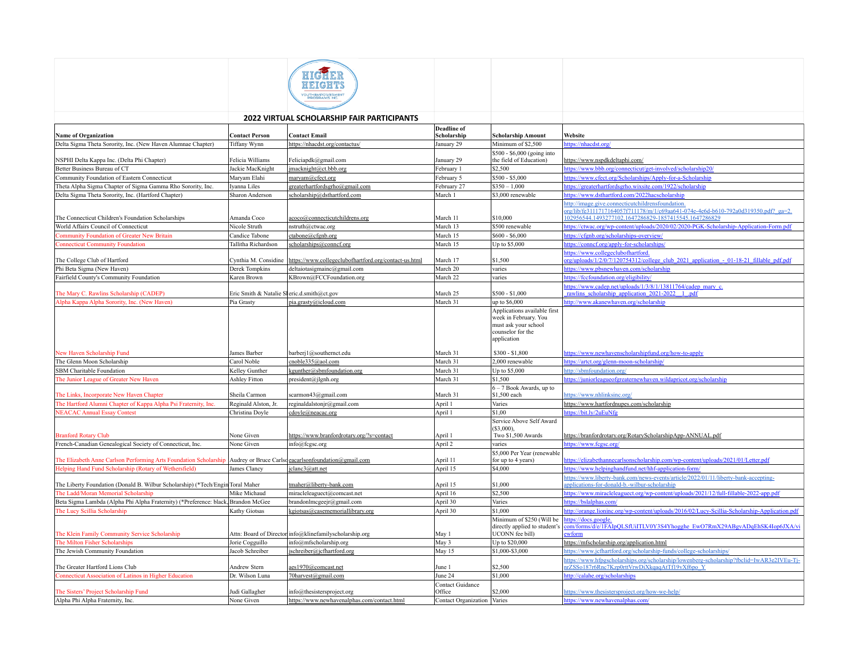|                                                                                                                       |                                            | HEIGHT                                                  |                                   |                                                                                                                   |                                                                                                                                                                                                  |
|-----------------------------------------------------------------------------------------------------------------------|--------------------------------------------|---------------------------------------------------------|-----------------------------------|-------------------------------------------------------------------------------------------------------------------|--------------------------------------------------------------------------------------------------------------------------------------------------------------------------------------------------|
|                                                                                                                       |                                            | <b>2022 VIRTUAL SCHOLARSHIP FAIR PARTICIPANTS</b>       |                                   |                                                                                                                   |                                                                                                                                                                                                  |
| <b>Name of Organization</b>                                                                                           | <b>Contact Person</b>                      | <b>Contact Email</b>                                    | <b>Deadline</b> of<br>Scholarship | <b>Scholarship Amount</b>                                                                                         | Website                                                                                                                                                                                          |
| Delta Sigma Theta Sorority, Inc. (New Haven Alumnae Chapter)                                                          | Tiffany Wynn                               | https://nhacdst.org/contactus/                          | January 29                        | Minimum of \$2,500                                                                                                | https://nhacdst.org/                                                                                                                                                                             |
| NSPHI Delta Kappa Inc. (Delta Phi Chapter)                                                                            | Felicia Williams                           | Feliciapdk@gmail.com                                    | January 29                        | \$500 - \$6,000 (going into<br>the field of Education)                                                            | https://www.nspdkdeltaphi.com/                                                                                                                                                                   |
| Better Business Bureau of CT                                                                                          | Jackie MacKnight                           | jmacknight@ct.bbb.org                                   | February 1                        | \$2.500                                                                                                           | https://www.bbb.org/connecticut/get-involved/scholarship20/                                                                                                                                      |
| Community Foundation of Eastern Connecticut                                                                           | Maryam Elahi                               | maryam@cfect.org                                        | February 5                        | \$500 - \$5,000                                                                                                   | https://www.cfect.org/Scholarships/Apply-for-a-Scholarship                                                                                                                                       |
| Theta Alpha Sigma Chapter of Sigma Gamma Rho Sorority, Inc.                                                           | Iyanna Liles                               | greaterhartfordsgrho@gmail.com                          | February 27                       | $$350 - 1,000$                                                                                                    | https://greaterhartfordsgrho.wixsite.com/1922/scholarship                                                                                                                                        |
| Delta Sigma Theta Sorority, Inc. (Hartford Chapter)                                                                   | Sharon Anderson                            | scholarship@dsthartford.com                             | March 1                           | \$3,000 renewable                                                                                                 | https://www.dsthartford.com/2022hacscholarship                                                                                                                                                   |
| The Connecticut Children's Foundation Scholarships                                                                    | Amanda Coco                                | acoco@connecticutchildrens.org                          | March 11                          | \$10,000                                                                                                          | http://image.give.connecticutchildrensfoundation.<br>org/lib/fe3111717164057f711178/m/1/c69aa641-074e-4e6d-b610-792a0d319350.pdf? ga=2.<br>102956544.1493277102.1647286829-1857415545.1647286829 |
| World Affairs Council of Connecticut                                                                                  | Nicole Struth                              | nstruth@ctwac.org                                       | March 13                          | \$500 renewable                                                                                                   | https://ctwac.org/wp-content/uploads/2020/02/2020-PGK-Scholarship-Application-Form.pdf                                                                                                           |
| <b>Community Foundation of Greater New Britain</b>                                                                    | Candice Tabone                             | ctabone@cfgnb.org                                       | March 15                          | $$600 - $6,000$                                                                                                   | https://cfgnb.org/scholarships-overview/                                                                                                                                                         |
| <b>Connecticut Community Foundation</b>                                                                               | Tallitha Richardson                        | scholarships@conncf.org                                 | March 15                          | Up to \$5,000                                                                                                     | https://conncf.org/apply-for-scholarships/                                                                                                                                                       |
| The College Club of Hartford                                                                                          | Cynthia M. Considine                       | https://www.collegeclubofhartford.org/contact-us.html   | March 17                          | \$1,500                                                                                                           | https://www.collegeclubofhartford.<br>org/uploads/1/2/0/7/120754312/college club 2021 application - 01-18-21 fillable pdf.pdf                                                                    |
| Phi Beta Sigma (New Haven)                                                                                            | Derek Tompkins                             | deltaiotasigmainc@gmail.com                             | March 20                          | varies                                                                                                            | https://www.pbsnewhaven.com/scholarship                                                                                                                                                          |
| Fairfield County's Community Foundation                                                                               | Karen Brown                                | KBrown@FCCFoundation.org                                | March 22                          | varies                                                                                                            | https://fccfoundation.org/eligibility/                                                                                                                                                           |
| The Mary C. Rawlins Scholarship (CADEP)                                                                               | Eric Smith & Natalie Sleric d.smith@ct.gov |                                                         | March 25                          | \$500 - \$1,000                                                                                                   | https://www.cadep.net/uploads/1/3/8/1/13811764/cadep_mary_c.<br>rawlins scholarship application 2021-2022 1 pdf                                                                                  |
| Alpha Kappa Alpha Sorority, Inc. (New Haven)                                                                          | Pia Grasty                                 | pia.grasty@icloud.com                                   | March 31                          | up to \$6,000                                                                                                     | http://www.akanewhaven.org/scholarship                                                                                                                                                           |
|                                                                                                                       |                                            |                                                         |                                   | Applications available first<br>week in February. You<br>must ask your school<br>counselor for the<br>application |                                                                                                                                                                                                  |
| New Haven Scholarship Fund                                                                                            | James Barber                               | barberj1@southernct.edu                                 | March 31                          | \$300 - \$1,800                                                                                                   | https://www.newhavenscholarshipfund.org/how-to-apply                                                                                                                                             |
| The Glenn Moon Scholarship<br>SBM Charitable Foundation                                                               | Carol Noble                                | cnoble335@aol.com                                       | March 31<br>March 31              | 2,000 renewable                                                                                                   | https://artct.org/glenn-moon-scholarship/                                                                                                                                                        |
| The Junior League of Greater New Haven                                                                                | Kelley Gunther<br>Ashley Fitton            | kgunther@sbmfoundation.org                              | March 31                          | Up to \$5,000<br>\$1,500                                                                                          | http://sbmfoundation.org/<br>https://juniorleagueofgreaternewhaven.wildapricot.org/scholarship                                                                                                   |
| The Links, Incorporate New Haven Chapter                                                                              | Sheila Carmon                              | president@jlgnh.org<br>scarmon43@gmail.com              | March 31                          | 6 - 7 Book Awards, up to<br>\$1,500 each                                                                          | https://www.nhlinksinc.org/                                                                                                                                                                      |
| The Hartford Alumni Chapter of Kappa Alpha Psi Fraternity, Inc.                                                       | Reginald Alston, Jr.                       | reginaldalstonjr@gmail.com                              | April 1                           | Varies                                                                                                            | https://www.hartfordnupes.com/scholarship                                                                                                                                                        |
| <b>NEACAC Annual Essay Contest</b>                                                                                    | Christina Doyle                            | cdoyle@neacac.org                                       | April 1                           | \$1,00                                                                                                            | https://bit.ly/2uEuNfg                                                                                                                                                                           |
|                                                                                                                       |                                            |                                                         |                                   | Service Above Self Award<br>$(S3.000)$ .                                                                          |                                                                                                                                                                                                  |
| <b>Branford Rotary Club</b>                                                                                           | None Given                                 | https://www.branfordrotary.org/?s=contact               | April 1                           | Two \$1,500 Awards                                                                                                | https://branfordrotary.org/RotaryScholarshipApp-ANNUAL.pdf                                                                                                                                       |
| French-Canadian Genealogical Society of Connecticut, Inc.                                                             | None Given                                 | info@fcgsc.org                                          | April 2                           | varies                                                                                                            | https://www.fcgsc.org/                                                                                                                                                                           |
| The Elizabeth Anne Carlson Performing Arts Foundation Scholarship Audrey or Bruce Carlsdeacarlsonfoundation@gmail.com |                                            |                                                         | April 11                          | \$5,000 Per Year (renewable<br>for up to 4 years)                                                                 | https://elizabethannecarlsonscholarship.com/wp-content/uploads/2021/01/Letter.pdf                                                                                                                |
| Helping Hand Fund Scholarship (Rotary of Wethersfield)                                                                | James Clancy                               | jclanc3@att.net                                         | April 15                          | \$4,000                                                                                                           | https://www.helpinghandfund.net/hhf-application-form/                                                                                                                                            |
|                                                                                                                       |                                            |                                                         |                                   |                                                                                                                   | https://www.liberty-bank.com/news-events/article/2022/01/11/liberty-bank-accepting-                                                                                                              |
| The Liberty Foundation (Donald B. Wilbur Scholarship) (*Tech/Engin Toral Maher                                        |                                            | maher@liberty-bank.com                                  | April 15                          | \$1,000                                                                                                           | applications-for-donald-b.-wilbur-scholarship                                                                                                                                                    |
| The Ladd/Moran Memorial Scholarship                                                                                   | Mike Michaud                               | miracleleaguect@comcast.net                             | April 16                          | \$2,500                                                                                                           | https://www.miracleleaguect.org/wp-content/uploads/2021/12/full-fillable-2022-app.pdf                                                                                                            |
| Beta Sigma Lambda (Alpha Phi Alpha Fraternity) (*Preference: black, Brandon McGee                                     |                                            | brandonlmcgeejr@gmail.com                               | April 30                          | Varies                                                                                                            | https://bslalphas.com/                                                                                                                                                                           |
| The Lucy Scillia Scholarship                                                                                          | Kathy Giotsas                              | kgiotsas@casememoriallibrary.org                        | April 30                          | \$1.000                                                                                                           | http://orange.lioninc.org/wp-content/uploads/2016/02/Lucy-Scillia-Scholarship-Application.pdf                                                                                                    |
| The Klein Family Community Service Scholarship                                                                        |                                            | Attn: Board of Director info@klinefamilyscholarship.org | May 1                             | Minimum of \$250 (Will be<br>directly applied to student's<br>UCONN fee bill)                                     | https://docs.google.<br>com/forms/d/e/1FAIpQLSfUiITLV0Y3S4Yhogghe_EwO7RmX29ABgvADqEhSK4Iop6JXA/vi<br>ewform                                                                                      |
| The Milton Fisher Scholarships                                                                                        | Jorie Cogguillo                            | info@mfscholarship.org                                  | May 3                             | Up to \$20,000                                                                                                    | https://mfscholarship.org/application.html                                                                                                                                                       |
| The Jewish Community Foundation                                                                                       | Jacob Schreiber                            | jschreiber@jcfhartford.org                              | May 15                            | \$1,000-\$3,000                                                                                                   | https://www.jcfhartford.org/scholarship-funds/college-scholarships/                                                                                                                              |
| The Greater Hartford Lions Club                                                                                       | Andrew Stern                               | aes1970@comcast.net                                     | June 1                            | \$2,500                                                                                                           | https://www.hfpgscholarships.org/scholarship/lowenberg-scholarship?fbclid=IwAR3e2IVEu-Ti-<br>nrZSSo187r6Rnc7Kzp0rttVrwDiXkqaqAtTf19vXf6po Y                                                      |
| Connecticut Association of Latinos in Higher Education                                                                | Dr. Wilson Luna                            | 70harvest@gmail.com                                     | June 24                           | \$1,000                                                                                                           | http://calahe.org/scholarships                                                                                                                                                                   |
| The Sisters' Project Scholarship Fund                                                                                 | Judi Gallagher                             | info@thesistersproject.org                              | <b>Contact Guidance</b><br>Office | \$2,000                                                                                                           | https://www.thesistersproject.org/how-we-help/                                                                                                                                                   |
| Alpha Phi Alpha Fraternity, Inc.                                                                                      | None Given                                 | https://www.newhavenalphas.com/contact.html             | Contact Organization Varies       |                                                                                                                   | https://www.newhavenalphas.com/                                                                                                                                                                  |